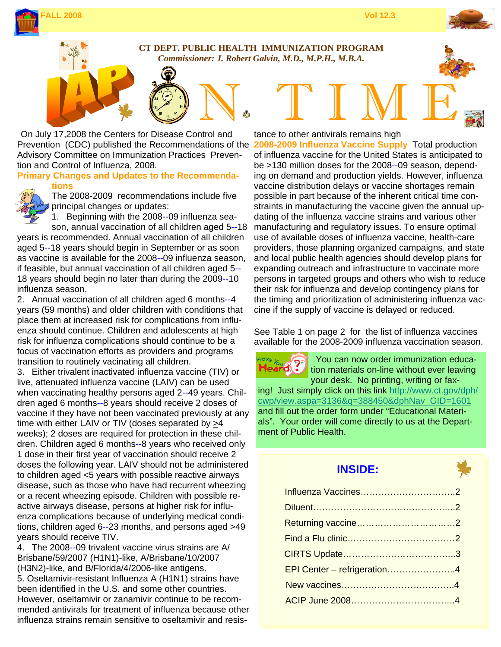



# **CT DEPT. PUBLIC HEALTH IMMUNIZATION PROGRAM**

 *Commissioner: J. Robert Galvin, M.D., M.P.H., M.B.A.* 

N. TIME On July 17,2008 the Centers for Disease Control and Prevention (CDC) published the Recommendations of the Advisory Committee on Immunization Practices Prevention and Control of Influenza, 2008.

#### **Primary Changes and Updates to the Recommendations**



The 2008-2009 recommendations include five principal changes or updates:

1. Beginning with the 2008--09 influenza season, annual vaccination of all children aged 5--18

years is recommended. Annual vaccination of all children aged 5--18 years should begin in September or as soon as vaccine is available for the 2008--09 influenza season, if feasible, but annual vaccination of all children aged 5-- 18 years should begin no later than during the 2009--10 influenza season.

2. Annual vaccination of all children aged 6 months--4 years (59 months) and older children with conditions that place them at increased risk for complications from influenza should continue. Children and adolescents at high risk for influenza complications should continue to be a focus of vaccination efforts as providers and programs transition to routinely vacinating all children.

3. Either trivalent inactivated influenza vaccine (TIV) or live, attenuated influenza vaccine (LAIV) can be used when vaccinating healthy persons aged 2--49 years. Children aged 6 months--8 years should receive 2 doses of vaccine if they have not been vaccinated previously at any time with either LAIV or TIV (doses separated by >4 weeks); 2 doses are required for protection in these children. Children aged 6 months--8 years who received only 1 dose in their first year of vaccination should receive 2 doses the following year. LAIV should not be administered to children aged <5 years with possible reactive airways disease, such as those who have had recurrent wheezing or a recent wheezing episode. Children with possible reactive airways disease, persons at higher risk for influenza complications because of underlying medical conditions, children aged 6--23 months, and persons aged >49 years should receive TIV.

4. The 2008--09 trivalent vaccine virus strains are A/ Brisbane/59/2007 (H1N1)-like, A/Brisbane/10/2007 (H3N2)-like, and B/Florida/4/2006-like antigens. 5. Oseltamivir-resistant Influenza A (H1N1) strains have been identified in the U.S. and some other countries. However, oseltamivir or zanamivir continue to be recommended antivirals for treatment of influenza because other influenza strains remain sensitive to oseltamivir and resis-

tance to other antivirals remains high

**2008-2009 Influenza Vaccine Supply** Total production of influenza vaccine for the United States is anticipated to be >130 million doses for the 2008--09 season, depending on demand and production yields. However, influenza vaccine distribution delays or vaccine shortages remain possible in part because of the inherent critical time constraints in manufacturing the vaccine given the annual updating of the influenza vaccine strains and various other manufacturing and regulatory issues. To ensure optimal use of available doses of influenza vaccine, health-care providers, those planning organized campaigns, and state and local public health agencies should develop plans for expanding outreach and infrastructure to vaccinate more persons in targeted groups and others who wish to reduce their risk for influenza and develop contingency plans for the timing and prioritization of administering influenza vaccine if the supply of vaccine is delayed or reduced.

See Table 1 on page 2 for the list of influenza vaccines available for the 2008-2009 influenza vaccination season.

 You can now order immunization educa-ົາ Heard. tion materials on-line without ever leaving your desk. No printing, writing or faxing! Just simply click on this link http://www.ct.gov/dph/ cwp/view.aspa=3136&q=388450&dphNav\_GID=1601 and fill out the order form under "Educational Materials". Your order will come directly to us at the Department of Public Health.

# **INSIDE:**

| Influenza Vaccines2         |  |
|-----------------------------|--|
|                             |  |
|                             |  |
|                             |  |
|                             |  |
| EPI Center - refrigeration4 |  |
|                             |  |
|                             |  |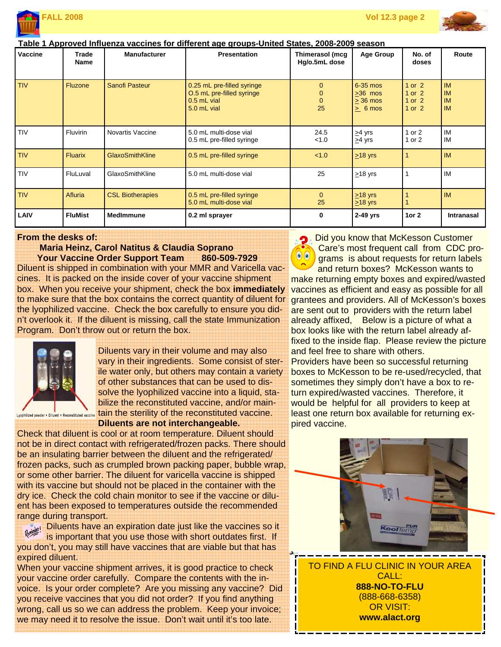



#### **Table 1 Approved Influenza vaccines for different age groups-United States, 2008-2009 season**

| <b>Vaccine</b> | Trade<br><b>Name</b> | <b>Manufacturer</b>     | <b>Presentation</b>                                                                     | Thimerasol (mcg<br>Hg/o.5mL dose                   | <b>Age Group</b>                                              | No. of<br>doses                                | Route                                            |
|----------------|----------------------|-------------------------|-----------------------------------------------------------------------------------------|----------------------------------------------------|---------------------------------------------------------------|------------------------------------------------|--------------------------------------------------|
| <b>TIV</b>     | <b>Fluzone</b>       | <b>Sanofi Pasteur</b>   | 0.25 mL pre-filled syringe<br>O.5 mL pre-filled syringe<br>$0.5$ mL vial<br>5.0 mL vial | $\mathbf{0}$<br>$\mathbf{0}$<br>$\mathbf{0}$<br>25 | $6-35$ mos<br>$>36$ mos<br>$> 36$ mos<br>$\geq 6 \text{ mos}$ | $1$ or $2$<br>1 or $2$<br>1 or $2$<br>1 or $2$ | <b>IM</b><br><b>IM</b><br><b>IM</b><br><b>IM</b> |
| <b>TIV</b>     | Fluvirin             | Novartis Vaccine        | 5.0 mL multi-dose vial<br>0.5 mL pre-filled syringe                                     | 24.5<br>< 1.0                                      | $\geq$ 4 yrs<br>$\geq$ 4 yrs                                  | 1 or $2$<br>1 or $2$                           | IM<br>IM                                         |
| <b>TIV</b>     | <b>Fluarix</b>       | <b>GlaxoSmithKline</b>  | 0.5 mL pre-filled syringe                                                               | < 1.0                                              | $\geq$ 18 yrs                                                 |                                                | <b>IM</b>                                        |
| <b>TIV</b>     | FluLuval             | GlaxoSmithKline         | 5.0 mL multi-dose vial                                                                  | 25                                                 | $\geq$ 18 yrs                                                 |                                                | IM                                               |
| <b>TIV</b>     | Afluria              | <b>CSL Biotherapies</b> | 0.5 mL pre-filled syringe<br>5.0 mL multi-dose vial                                     | $\Omega$<br>25                                     | $\geq$ 18 yrs<br>$\geq$ 18 yrs                                |                                                | <b>IM</b>                                        |
| LAIV           | <b>FluMist</b>       | <b>MedImmune</b>        | 0.2 ml sprayer                                                                          | 0                                                  | $2-49$ yrs                                                    | 1or $2$                                        | <b>Intranasal</b>                                |

#### **From the desks of:**

#### **Maria Heinz, Carol Natitus & Claudia Soprano Your Vaccine Order Support Team 860-509-7929**

Diluent is shipped in combination with your MMR and Varicella vaccines. It is packed on the inside cover of your vaccine shipment box. When you receive your shipment, check the box **immediately** to make sure that the box contains the correct quantity of diluent for the lyophilized vaccine. Check the box carefully to ensure you didn't overlook it. If the diluent is missing, call the state Immunization Program. Don't throw out or return the box.



Diluents vary in their volume and may also vary in their ingredients. Some consist of sterile water only, but others may contain a variety of other substances that can be used to dissolve the lyophilized vaccine into a liquid, stabilize the reconstituted vaccine, and/or maintain the sterility of the reconstituted vaccine. **Diluents are not interchangeable.** 

Check that diluent is cool or at room temperature. Diluent should not be in direct contact with refrigerated/frozen packs. There should be an insulating barrier between the diluent and the refrigerated/ frozen packs, such as crumpled brown packing paper, bubble wrap, or some other barrier. The diluent for varicella vaccine is shipped with its vaccine but should not be placed in the container with the dry ice. Check the cold chain monitor to see if the vaccine or diluent has been exposed to temperatures outside the recommended range during transport.

**Diluents have an expiration date just like the vaccines so it** is important that you use those with short outdates first. If you don't, you may still have vaccines that are viable but that has expired diluent.

When your vaccine shipment arrives, it is good practice to check your vaccine order carefully. Compare the contents with the invoice. Is your order complete? Are you missing any vaccine? Did you receive vaccines that you did not order? If you find anything wrong, call us so we can address the problem. Keep your invoice; we may need it to resolve the issue. Don't wait until it's too late.

D. Did you know that McKesson Customer Care's most frequent call from CDC pro- $\bullet$   $\bullet$ 

grams is about requests for return labels and return boxes? McKesson wants to make returning empty boxes and expired/wasted vaccines as efficient and easy as possible for all grantees and providers. All of McKesson's boxes are sent out to providers with the return label already affixed, Below is a picture of what a box looks like with the return label already affixed to the inside flap. Please review the picture and feel free to share with others.

Providers have been so successful returning boxes to McKesson to be re-used/recycled, that sometimes they simply don't have a box to return expired/wasted vaccines. Therefore, it would be helpful for all providers to keep at least one return box available for returning expired vaccine.



TO FIND A FLU CLINIC IN YOUR AREA CALL: **888-NO-TO-FLU**  (888-668-6358) OR VISIT: **www.alact.org**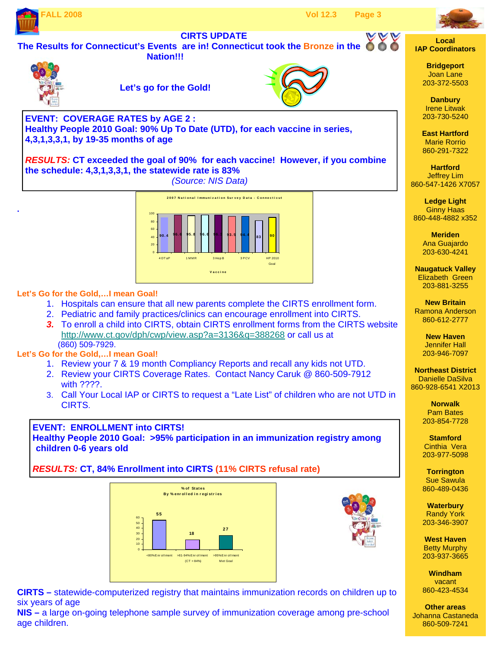



860-448-4882 x352

**Naugatuck Valley**  Elizabeth Green 203-881-3255

**New Britain**  Ramona Anderson 860-612-2777

> **New Haven**  Jennifer Hall 203-946-7097

**Northeast District**  Danielle DaSilva 860-928-6541 X2013

> **Norwalk**  Pam Bates 203-854-7728

**Stamford**  Cinthia Vera 203-977-5098

**Torrington**  Sue Sawula 860-489-0436

**Waterbury**  Randy York 203-346-3907

**West Haven**  Betty Murphy 203-937-3665

**Windham**  vacant 860-423-4534

**Other areas**  Johanna Castaneda 860-509-7241



### **Let's Go for the Gold,…I mean Goal!**

- 1. Hospitals can ensure that all new parents complete the CIRTS enrollment form.
- 2. Pediatric and family practices/clinics can encourage enrollment into CIRTS.
- *3.* To enroll a child into CIRTS, obtain CIRTS enrollment forms from the CIRTS website http://www.ct.gov/dph/cwp/view.asp?a=3136&q=388268 or call us at (860) 509-7929.

## **Let's Go for the Gold,…I mean Goal!**

- 1. Review your 7 & 19 month Compliancy Reports and recall any kids not UTD.
- 2. Review your CIRTS Coverage Rates. Contact Nancy Caruk @ 860-509-7912 with ????.
- 3. Call Your Local IAP or CIRTS to request a "Late List" of children who are not UTD in CIRTS.

**EVENT: ENROLLMENT into CIRTS!** 

**Healthy People 2010 Goal: >95% participation in an immunization registry among children 0-6 years old** 

*RESULTS:* **CT, 84% Enrollment into CIRTS (11% CIRTS refusal rate)** 





**CIRTS –** statewide-computerized registry that maintains immunization records on children up to six years of age

**NIS –** a large on-going telephone sample survey of immunization coverage among pre-school age children.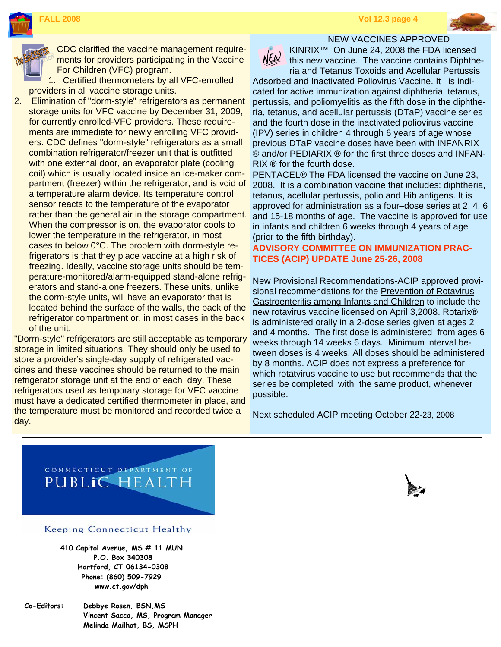

CDC clarified the vaccine management requirements for providers participating in the Vaccine For Children (VFC) program.

1. Certified thermometers by all VFC-enrolled providers in all vaccine storage units.

2. Elimination of "dorm-style" refrigerators as permanent storage units for VFC vaccine by December 31, 2009, for currently enrolled-VFC providers. These requirements are immediate for newly enrolling VFC providers. CDC defines "dorm-style" refrigerators as a small combination refrigerator/freezer unit that is outfitted with one external door, an evaporator plate (cooling coil) which is usually located inside an ice-maker compartment (freezer) within the refrigerator, and is void of a temperature alarm device. Its temperature control sensor reacts to the temperature of the evaporator rather than the general air in the storage compartment. When the compressor is on, the evaporator cools to lower the temperature in the refrigerator, in most cases to below 0°C. The problem with dorm-style refrigerators is that they place vaccine at a high risk of freezing. Ideally, vaccine storage units should be temperature-monitored/alarm-equipped stand-alone refrigerators and stand-alone freezers. These units, unlike the dorm-style units, will have an evaporator that is located behind the surface of the walls, the back of the refrigerator compartment or, in most cases in the back of the unit.

"Dorm-style" refrigerators are still acceptable as temporary storage in limited situations. They should only be used to store a provider's single-day supply of refrigerated vaccines and these vaccines should be returned to the main refrigerator storage unit at the end of each day. These refrigerators used as temporary storage for VFC vaccine must have a dedicated certified thermometer in place, and the temperature must be monitored and recorded twice a day.



NEW VACCINES APPROVED KINRIX™ On June 24, 2008 the FDA licensed this new vaccine. The vaccine contains Diphtheria and Tetanus Toxoids and Acellular Pertussis

Adsorbed and Inactivated Poliovirus Vaccine. It is indicated for active immunization against diphtheria, tetanus, pertussis, and poliomyelitis as the fifth dose in the diphtheria, tetanus, and acellular pertussis (DTaP) vaccine series and the fourth dose in the inactivated poliovirus vaccine (IPV) series in children 4 through 6 years of age whose previous DTaP vaccine doses have been with INFANRIX ® and/or PEDIARIX ® for the first three doses and INFAN-RIX ® for the fourth dose.

PENTACEL® The FDA licensed the vaccine on June 23, 2008. It is a combination vaccine that includes: diphtheria, tetanus, acellular pertussis, polio and Hib antigens. It is approved for administration as a four–dose series at 2, 4, 6 and 15-18 months of age. The vaccine is approved for use in infants and children 6 weeks through 4 years of age (prior to the fifth birthday).

#### **ADVISORY COMMITTEE ON IMMUNIZATION PRAC-TICES (ACIP) UPDATE June 25-26, 2008**

New Provisional Recommendations-ACIP approved provisional recommendations for the Prevention of Rotavirus Gastroenteritis among Infants and Children to include the new rotavirus vaccine licensed on April 3,2008. Rotarix® is administered orally in a 2-dose series given at ages 2 and 4 months. The first dose is administered from ages 6 weeks through 14 weeks 6 days. Minimum interval between doses is 4 weeks. All doses should be administered by 8 months. ACIP does not express a preference for which rotatvirus vaccine to use but recommends that the series be completed with the same product, whenever possible.

Next scheduled ACIP meeting October 22-23, 2008



#### Keeping Connecticut Healthy

**410 Capitol Avenue, MS # 11 MUN P.O. Box 340308 Hartford, CT 06134-0308 Phone: (860) 509-7929 www.ct.gov/dph** 

**Co-Editors: Debbye Rosen, BSN,MS Vincent Sacco, MS, Program Manager Melinda Mailhot, BS, MSPH** 

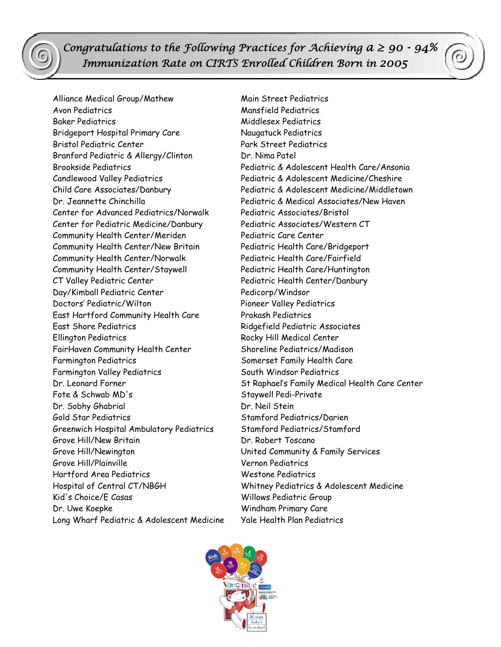*Congratulations to the Following Practices for Achieving*  $a \ge 90 - 94\%$  *Immunization Rate on CIRTS Enrolled Children Born in 2005*

Alliance Medical Group/Mathew Main Street Pediatrics Avon Pediatrics Mansfield Pediatrics Baker Pediatrics and the Middlesex Pediatrics Bridgeport Hospital Primary Care Naugatuck Pediatrics Bristol Pediatric Center Park Street Pediatrics Branford Pediatric & Allergy/Clinton Dr. Nima Patel Candlewood Valley Pediatrics Pediatric & Adolescent Medicine/Cheshire Center for Advanced Pediatrics/Norwalk Pediatric Associates/Bristol Center for Pediatric Medicine/Danbury Pediatric Associates/Western CT Community Health Center/Meriden Pediatric Care Center Community Health Center/New Britain Pediatric Health Care/Bridgeport Community Health Center/Norwalk Pediatric Health Care/Fairfield Community Health Center/Staywell Pediatric Health Care/Huntington CT Valley Pediatric Center Pediatric Health Center/Danbury Day/Kimball Pediatric Center entitled and Pedicorp/Windsor Doctors' Pediatric/Wilton Pioneer Valley Pediatrics East Hartford Community Health Care Prakash Pediatrics East Shore Pediatrics Ridgefield Pediatric Associates Ellington Pediatrics Rocky Hill Medical Center FairHaven Community Health Center Shoreline Pediatrics/Madison Farmington Pediatrics The Somerset Family Health Care Farmington Valley Pediatrics South Windsor Pediatrics Fote & Schwab MD's Staywell Pedi-Private Dr. Sobhy Ghabrial Dr. Neil Stein Gold Star Pediatrics Stamford Pediatrics/Darien Greenwich Hospital Ambulatory Pediatrics Stamford Pediatrics/Stamford Grove Hill/New Britain **Britain** Dr. Robert Toscano Grove Hill/Newington United Community & Family Services Grove Hill/Plainville Vernon Pediatrics Hartford Area Pediatrics Westone Pediatrics Hospital of Central CT/NBGH Whitney Pediatrics & Adolescent Medicine Kid's Choice/E Casas Willows Pediatric Group Dr. Uwe Koepke Windham Primary Care Long Wharf Pediatric & Adolescent Medicine Yale Health Plan Pediatrics

Brookside Pediatrics Pediatric & Adolescent Health Care/Ansonia Child Care Associates/Danbury Pediatric & Adolescent Medicine/Middletown Dr. Jeannette Chinchilla Pediatric & Medical Associates/New Haven Dr. Leonard Forner St Raphael's Family Medical Health Care Center